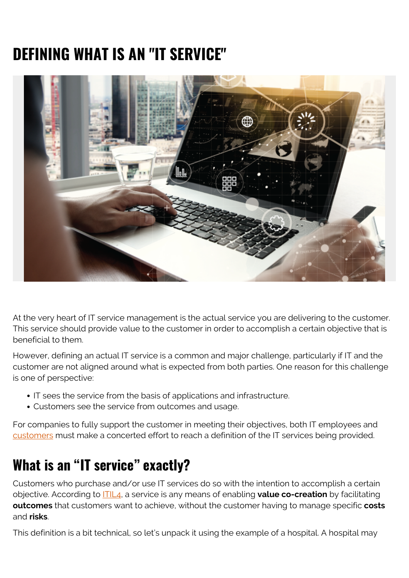# **DEFINING WHAT IS AN "IT SERVICE"**



At the very heart of IT service management is the actual service you are delivering to the customer. This service should provide value to the customer in order to accomplish a certain objective that is beneficial to them.

However, defining an actual IT service is a common and major challenge, particularly if IT and the customer are not aligned around what is expected from both parties. One reason for this challenge is one of perspective:

- IT sees the service from the basis of applications and infrastructure.
- Customers see the service from outcomes and usage.

For companies to fully support the customer in meeting their objectives, both IT employees and [customers](https://blogs.bmc.com/blogs/internal-vs-external-customers/) must make a concerted effort to reach a definition of the IT services being provided.

### **What is an "IT service" exactly?**

Customers who purchase and/or use IT services do so with the intention to accomplish a certain objective. According to [ITIL4](https://blogs.bmc.com/blogs/itil-4/), a service is any means of enabling **value co-creation** by facilitating **outcomes** that customers want to achieve, without the customer having to manage specific **costs** and **risks**.

This definition is a bit technical, so let's unpack it using the example of a hospital. A hospital may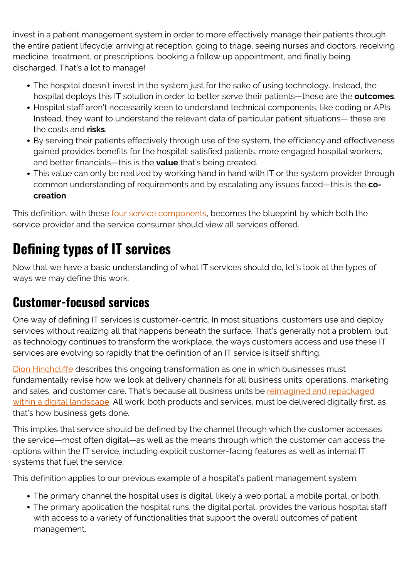invest in a patient management system in order to more effectively manage their patients through the entire patient lifecycle: arriving at reception, going to triage, seeing nurses and doctors, receiving medicine, treatment, or prescriptions, booking a follow up appointment, and finally being discharged. That's a lot to manage!

- The hospital doesn't invest in the system just for the sake of using technology. Instead, the hospital deploys this IT solution in order to better serve their patients—these are the **outcomes**.
- Hospital staff aren't necessarily keen to understand technical components, like coding or APIs. Instead, they want to understand the relevant data of particular patient situations— these are the costs and **risks**.
- By serving their patients effectively through use of the system, the efficiency and effectiveness gained provides benefits for the hospital: satisfied patients, more engaged hospital workers, and better financials—this is the **value** that's being created.
- This value can only be realized by working hand in hand with IT or the system provider through common understanding of requirements and by escalating any issues faced—this is the **cocreation**.

This definition, with these [four service components,](https://www.joetheitguy.com/2018/02/28/itsm-basics-what-is-a-service/) becomes the blueprint by which both the service provider and the service consumer should view all services offered.

# **Defining types of IT services**

Now that we have a basic understanding of what IT services should do, let's look at the types of ways we may define this work:

#### **Customer-focused services**

One way of defining IT services is customer-centric. In most situations, customers use and deploy services without realizing all that happens beneath the surface. That's generally not a problem, but as technology continues to transform the workplace, the ways customers access and use these IT services are evolving so rapidly that the definition of an IT service is itself shifting.

[Dion Hinchcliffe](https://dionhinchcliffe.com/category/digital-transformation/) describes this ongoing transformation as one in which businesses must fundamentally revise how we look at delivery channels for all business units: operations, marketing and sales, and customer care. That's because all business units be [reimagined and repackaged](https://www.cxotalk.com/video/what-digital-transformation) [within a digital landscape](https://www.cxotalk.com/video/what-digital-transformation). All work, both products and services, must be delivered digitally first, as that's how business gets done.

This implies that service should be defined by the channel through which the customer accesses the service—most often digital—as well as the means through which the customer can access the options within the IT service, including explicit customer-facing features as well as internal IT systems that fuel the service.

This definition applies to our previous example of a hospital's patient management system:

- The primary channel the hospital uses is digital, likely a web portal, a mobile portal, or both.
- The primary application the hospital runs, the digital portal, provides the various hospital staff with access to a variety of functionalities that support the overall outcomes of patient management.